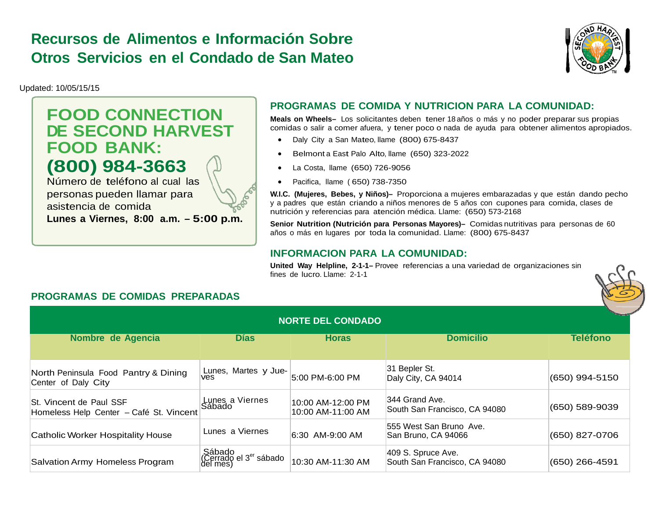## **Recursos de Alimentos e Información SobreOtros Servicios en el Condado de San Mateo**



Updated: 10/05/15/15

# **FOOD CONNECTION DE SECOND HARVEST FOOD BANK: (800) 984-3663**

Número de teléfono al cual las personas pueden llamar para asistencia de comida **Lunes a Viernes, 8:00 a.m. – 5:00 p.m.**

## **PROGRAMAS DE COMIDA Y NUTRICION PARA LA COMUNIDAD:**

**Meals on Wheels–** Los solicitantes deben tener 18 años o más y no poder preparar sus propias comidas o salir a comer afuera, y tener poco o nada de ayuda para obtener alimentos apropiados.

- $\bullet$ Daly City a San Mateo, llame (800) 675-8437
- $\bullet$ Belmont a East Palo Alto, llame (650) 323-2022
- $\bullet$ La Costa, llame (650) 726-9056
- $\bullet$ Pacifica, llame ( 650) 738-7350

**W.I.C. (Mujeres, Bebes, y Niños)–** Proporciona a mujeres embarazadas y que están dando pecho y a padres que están criando a niños menores de 5 años con cupones para comida, clases de nutrición y referencias para atención médica. Llame: (650) 573-2168

**Senior Nutrition (Nutrición para Personas Mayores)–** Comidas nutritivas para personas de 60 años o más en lugares por toda la comunidad. Llame: (800) 675-8437

#### **INFORMACION PARA LA COMUNIDAD:**

**United Way Helpline, 2-1-1–** Provee referencias a una variedad de organizaciones sin fines de lucro. Llame: 2-1-1



### **PROGRAMAS DE COMIDAS PREPARADAS**

| <b>NORTE DEL CONDADO</b>                                           |                                                          |                                        |                                                     |                 |  |  |
|--------------------------------------------------------------------|----------------------------------------------------------|----------------------------------------|-----------------------------------------------------|-----------------|--|--|
| Nombre de Agencia                                                  | <b>D</b> ías                                             | <b>Horas</b>                           | <b>Domicilio</b>                                    | <b>Teléfono</b> |  |  |
| North Peninsula Food Pantry & Dining<br>Center of Daly City        | Lunes, Martes y Jue-<br>ves                              | 5:00 PM-6:00 PM                        | 31 Bepler St.<br>Daly City, CA 94014                | (650) 994-5150  |  |  |
| St. Vincent de Paul SSF<br>Homeless Help Center - Café St. Vincent | Lunes a Viernes<br>Sábado                                | 10:00 AM-12:00 PM<br>10:00 AM-11:00 AM | 344 Grand Ave.<br>South San Francisco, CA 94080     | (650) 589-9039  |  |  |
| <b>Catholic Worker Hospitality House</b>                           | Lunes a Viernes                                          | 6:30 AM-9:00 AM                        | 555 West San Bruno Ave.<br>San Bruno, CA 94066      | (650) 827-0706  |  |  |
| Salvation Army Homeless Program                                    | Sábado<br>(Cerrado el 3 <sup>er</sup> sábado<br>del mes) | 10:30 AM-11:30 AM                      | 409 S. Spruce Ave.<br>South San Francisco, CA 94080 | (650) 266-4591  |  |  |